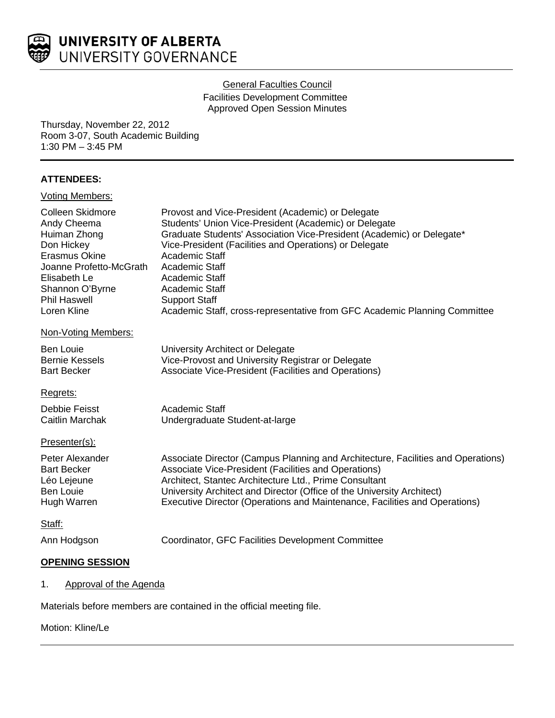

### General Faculties Council

Facilities Development Committee Approved Open Session Minutes

Thursday, November 22, 2012 Room 3-07, South Academic Building 1:30 PM – 3:45 PM

# **ATTENDEES:**

| <b>Voting Members:</b>                                                                                                                                                             |                                                                                                                                                                                                                                                                                                                                                                                                                            |
|------------------------------------------------------------------------------------------------------------------------------------------------------------------------------------|----------------------------------------------------------------------------------------------------------------------------------------------------------------------------------------------------------------------------------------------------------------------------------------------------------------------------------------------------------------------------------------------------------------------------|
| Colleen Skidmore<br>Andy Cheema<br>Huiman Zhong<br>Don Hickey<br>Erasmus Okine<br>Joanne Profetto-McGrath<br>Elisabeth Le<br>Shannon O'Byrne<br><b>Phil Haswell</b><br>Loren Kline | Provost and Vice-President (Academic) or Delegate<br>Students' Union Vice-President (Academic) or Delegate<br>Graduate Students' Association Vice-President (Academic) or Delegate*<br>Vice-President (Facilities and Operations) or Delegate<br>Academic Staff<br>Academic Staff<br>Academic Staff<br>Academic Staff<br><b>Support Staff</b><br>Academic Staff, cross-representative from GFC Academic Planning Committee |
| Non-Voting Members:                                                                                                                                                                |                                                                                                                                                                                                                                                                                                                                                                                                                            |
| Ben Louie<br><b>Bernie Kessels</b><br><b>Bart Becker</b>                                                                                                                           | University Architect or Delegate<br>Vice-Provost and University Registrar or Delegate<br>Associate Vice-President (Facilities and Operations)                                                                                                                                                                                                                                                                              |
| Regrets:                                                                                                                                                                           |                                                                                                                                                                                                                                                                                                                                                                                                                            |
| Debbie Feisst<br>Caitlin Marchak                                                                                                                                                   | Academic Staff<br>Undergraduate Student-at-large                                                                                                                                                                                                                                                                                                                                                                           |
| Presenter(s):                                                                                                                                                                      |                                                                                                                                                                                                                                                                                                                                                                                                                            |
| Peter Alexander<br><b>Bart Becker</b><br>Léo Lejeune<br><b>Ben Louie</b><br>Hugh Warren                                                                                            | Associate Director (Campus Planning and Architecture, Facilities and Operations)<br>Associate Vice-President (Facilities and Operations)<br>Architect, Stantec Architecture Ltd., Prime Consultant<br>University Architect and Director (Office of the University Architect)<br>Executive Director (Operations and Maintenance, Facilities and Operations)                                                                 |
| Staff:                                                                                                                                                                             |                                                                                                                                                                                                                                                                                                                                                                                                                            |
| Ann Hodgson                                                                                                                                                                        | Coordinator, GFC Facilities Development Committee                                                                                                                                                                                                                                                                                                                                                                          |
| <b>OPENING SESSION</b>                                                                                                                                                             |                                                                                                                                                                                                                                                                                                                                                                                                                            |

# 1. Approval of the Agenda

Materials before members are contained in the official meeting file.

### Motion: Kline/Le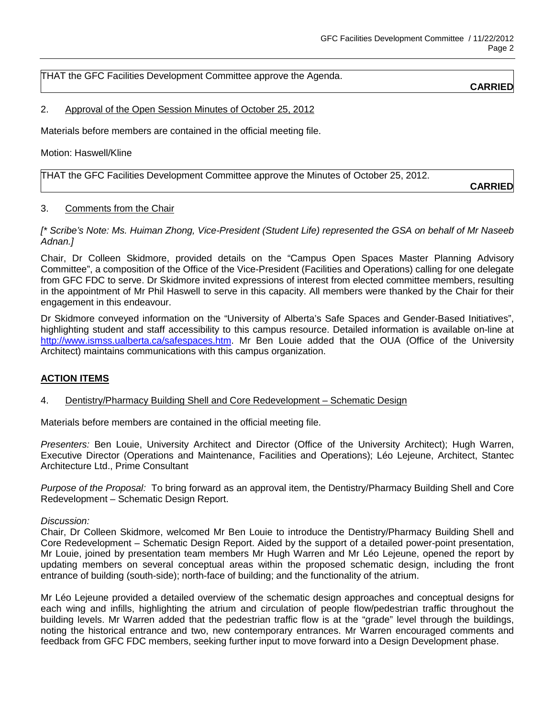THAT the GFC Facilities Development Committee approve the Agenda.

**CARRIED**

### 2. Approval of the Open Session Minutes of October 25, 2012

Materials before members are contained in the official meeting file.

Motion: Haswell/Kline

THAT the GFC Facilities Development Committee approve the Minutes of October 25, 2012.

**CARRIED**

### 3. Comments from the Chair

*[\* Scribe's Note: Ms. Huiman Zhong, Vice-President (Student Life) represented the GSA on behalf of Mr Naseeb Adnan.]*

Chair, Dr Colleen Skidmore, provided details on the "Campus Open Spaces Master Planning Advisory Committee", a composition of the Office of the Vice-President (Facilities and Operations) calling for one delegate from GFC FDC to serve. Dr Skidmore invited expressions of interest from elected committee members, resulting in the appointment of Mr Phil Haswell to serve in this capacity. All members were thanked by the Chair for their engagement in this endeavour.

Dr Skidmore conveyed information on the "University of Alberta's Safe Spaces and Gender-Based Initiatives", highlighting student and staff accessibility to this campus resource. Detailed information is available on-line at [http://www.ismss.ualberta.ca/safespaces.htm.](http://www.ismss.ualberta.ca/safespaces.htm) Mr Ben Louie added that the OUA (Office of the University Architect) maintains communications with this campus organization.

# **ACTION ITEMS**

### 4. Dentistry/Pharmacy Building Shell and Core Redevelopment – Schematic Design

Materials before members are contained in the official meeting file.

*Presenters:* Ben Louie, University Architect and Director (Office of the University Architect); Hugh Warren, Executive Director (Operations and Maintenance, Facilities and Operations); Léo Lejeune, Architect, Stantec Architecture Ltd., Prime Consultant

*Purpose of the Proposal:* To bring forward as an approval item, the Dentistry/Pharmacy Building Shell and Core Redevelopment – Schematic Design Report.

#### *Discussion:*

Chair, Dr Colleen Skidmore, welcomed Mr Ben Louie to introduce the Dentistry/Pharmacy Building Shell and Core Redevelopment – Schematic Design Report. Aided by the support of a detailed power-point presentation, Mr Louie, joined by presentation team members Mr Hugh Warren and Mr Léo Lejeune, opened the report by updating members on several conceptual areas within the proposed schematic design, including the front entrance of building (south-side); north-face of building; and the functionality of the atrium.

Mr Léo Lejeune provided a detailed overview of the schematic design approaches and conceptual designs for each wing and infills, highlighting the atrium and circulation of people flow/pedestrian traffic throughout the building levels. Mr Warren added that the pedestrian traffic flow is at the "grade" level through the buildings, noting the historical entrance and two, new contemporary entrances. Mr Warren encouraged comments and feedback from GFC FDC members, seeking further input to move forward into a Design Development phase.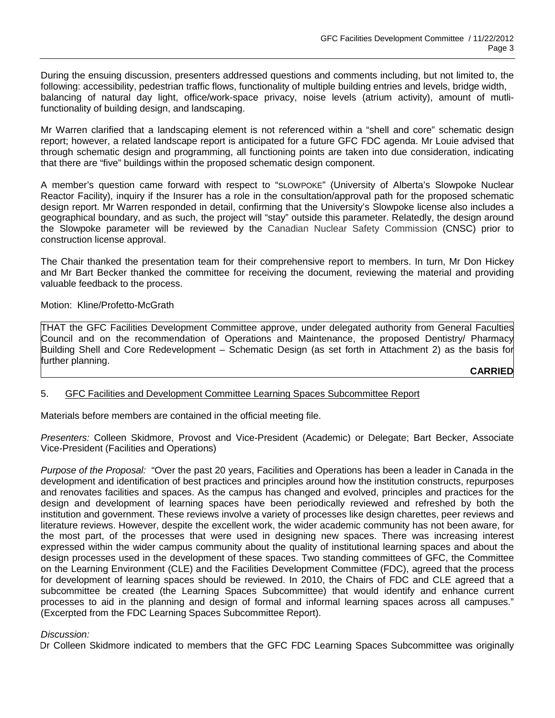During the ensuing discussion, presenters addressed questions and comments including, but not limited to, the following: accessibility, pedestrian traffic flows, functionality of multiple building entries and levels, bridge width, balancing of natural day light, office/work-space privacy, noise levels (atrium activity), amount of mutlifunctionality of building design, and landscaping.

Mr Warren clarified that a landscaping element is not referenced within a "shell and core" schematic design report; however, a related landscape report is anticipated for a future GFC FDC agenda. Mr Louie advised that through schematic design and programming, all functioning points are taken into due consideration, indicating that there are "five" buildings within the proposed schematic design component.

A member's question came forward with respect to "SLOWPOKE" (University of Alberta's Slowpoke Nuclear Reactor Facility), inquiry if the Insurer has a role in the consultation/approval path for the proposed schematic design report. Mr Warren responded in detail, confirming that the University's Slowpoke license also includes a geographical boundary, and as such, the project will "stay" outside this parameter. Relatedly, the design around the Slowpoke parameter will be reviewed by the Canadian Nuclear Safety Commission (CNSC) prior to construction license approval.

The Chair thanked the presentation team for their comprehensive report to members. In turn, Mr Don Hickey and Mr Bart Becker thanked the committee for receiving the document, reviewing the material and providing valuable feedback to the process.

#### Motion: Kline/Profetto-McGrath

THAT the GFC Facilities Development Committee approve, under delegated authority from General Faculties Council and on the recommendation of Operations and Maintenance, the proposed Dentistry/ Pharmacy Building Shell and Core Redevelopment – Schematic Design (as set forth in Attachment 2) as the basis for further planning.

**CARRIED**

### 5. GFC Facilities and Development Committee Learning Spaces Subcommittee Report

Materials before members are contained in the official meeting file.

*Presenters:* Colleen Skidmore, Provost and Vice-President (Academic) or Delegate; Bart Becker, Associate Vice-President (Facilities and Operations)

*Purpose of the Proposal:* "Over the past 20 years, Facilities and Operations has been a leader in Canada in the development and identification of best practices and principles around how the institution constructs, repurposes and renovates facilities and spaces. As the campus has changed and evolved, principles and practices for the design and development of learning spaces have been periodically reviewed and refreshed by both the institution and government. These reviews involve a variety of processes like design charettes, peer reviews and literature reviews. However, despite the excellent work, the wider academic community has not been aware, for the most part, of the processes that were used in designing new spaces. There was increasing interest expressed within the wider campus community about the quality of institutional learning spaces and about the design processes used in the development of these spaces. Two standing committees of GFC, the Committee on the Learning Environment (CLE) and the Facilities Development Committee (FDC), agreed that the process for development of learning spaces should be reviewed. In 2010, the Chairs of FDC and CLE agreed that a subcommittee be created (the Learning Spaces Subcommittee) that would identify and enhance current processes to aid in the planning and design of formal and informal learning spaces across all campuses." (Excerpted from the FDC Learning Spaces Subcommittee Report).

#### *Discussion:*

Dr Colleen Skidmore indicated to members that the GFC FDC Learning Spaces Subcommittee was originally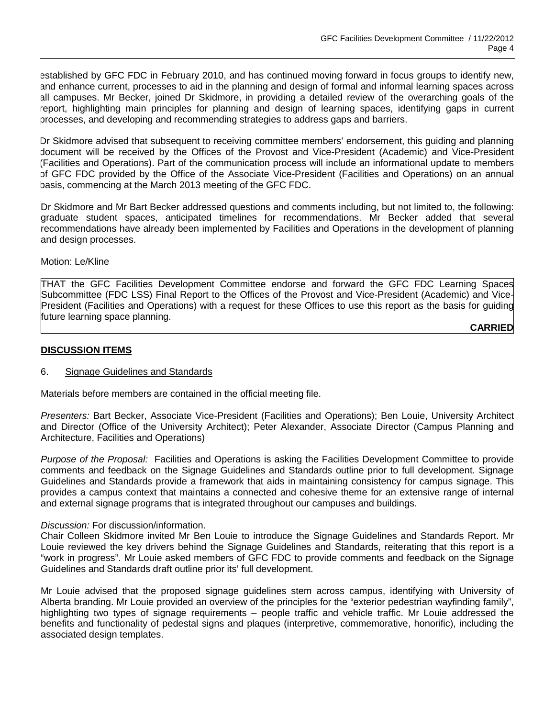established by GFC FDC in February 2010, and has continued moving forward in focus groups to identify new, and enhance current, processes to aid in the planning and design of formal and informal learning spaces across all campuses. Mr Becker, joined Dr Skidmore, in providing a detailed review of the overarching goals of the report, highlighting main principles for planning and design of learning spaces, identifying gaps in current processes, and developing and recommending strategies to address gaps and barriers.

Dr Skidmore advised that subsequent to receiving committee members' endorsement, this guiding and planning document will be received by the Offices of the Provost and Vice-President (Academic) and Vice-President (Facilities and Operations). Part of the communication process will include an informational update to members of GFC FDC provided by the Office of the Associate Vice-President (Facilities and Operations) on an annual basis, commencing at the March 2013 meeting of the GFC FDC.

Dr Skidmore and Mr Bart Becker addressed questions and comments including, but not limited to, the following: graduate student spaces, anticipated timelines for recommendations. Mr Becker added that several recommendations have already been implemented by Facilities and Operations in the development of planning and design processes.

Motion: Le/Kline

THAT the GFC Facilities Development Committee endorse and forward the GFC FDC Learning Spaces Subcommittee (FDC LSS) Final Report to the Offices of the Provost and Vice-President (Academic) and Vice-President (Facilities and Operations) with a request for these Offices to use this report as the basis for guiding future learning space planning.

**CARRIED**

### **DISCUSSION ITEMS**

#### 6. Signage Guidelines and Standards

Materials before members are contained in the official meeting file.

*Presenters:* Bart Becker, Associate Vice-President (Facilities and Operations); Ben Louie, University Architect and Director (Office of the University Architect); Peter Alexander, Associate Director (Campus Planning and Architecture, Facilities and Operations)

*Purpose of the Proposal:* Facilities and Operations is asking the Facilities Development Committee to provide comments and feedback on the Signage Guidelines and Standards outline prior to full development. Signage Guidelines and Standards provide a framework that aids in maintaining consistency for campus signage. This provides a campus context that maintains a connected and cohesive theme for an extensive range of internal and external signage programs that is integrated throughout our campuses and buildings.

#### *Discussion:* For discussion/information.

Chair Colleen Skidmore invited Mr Ben Louie to introduce the Signage Guidelines and Standards Report. Mr Louie reviewed the key drivers behind the Signage Guidelines and Standards, reiterating that this report is a "work in progress". Mr Louie asked members of GFC FDC to provide comments and feedback on the Signage Guidelines and Standards draft outline prior its' full development.

Mr Louie advised that the proposed signage guidelines stem across campus, identifying with University of Alberta branding. Mr Louie provided an overview of the principles for the "exterior pedestrian wayfinding family", highlighting two types of signage requirements – people traffic and vehicle traffic. Mr Louie addressed the benefits and functionality of pedestal signs and plaques (interpretive, commemorative, honorific), including the associated design templates.